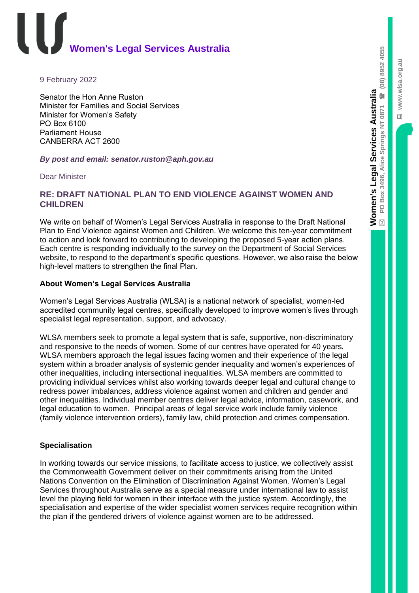

9 February 2022

Senator the Hon Anne Ruston  Minister for Families and Social Services   Minister for Women's Safety  PO Box 6100  Parliament House  CANBERRA ACT 2600 

#### *By post and email: senator.ruston@aph.gov.au*

Dear Minister

# **RE: DRAFT NATIONAL PLAN TO END VIOLENCE AGAINST WOMEN AND CHILDREN**

We write on behalf of Women's Legal Services Australia in response to the Draft National Plan to End Violence against Women and Children. We welcome this ten-year commitment to action and look forward to contributing to developing the proposed 5-year action plans.   Each centre is responding individually to the survey on the Department of Social Services website, to respond to the department's specific questions. However, we also raise the below high-level matters to strengthen the final Plan.  

#### **About Women's Legal Services Australia**

Women's Legal Services Australia (WLSA) is a national network of specialist, women-led accredited community legal centres, specifically developed to improve women's lives through specialist legal representation, support, and advocacy.

WLSA members seek to promote a legal system that is safe, supportive, non-discriminatory and responsive to the needs of women. Some of our centres have operated for 40 years. WLSA members approach the legal issues facing women and their experience of the legal system within a broader analysis of systemic gender inequality and women's experiences of other inequalities, including intersectional inequalities. WLSA members are committed to providing individual services whilst also working towards deeper legal and cultural change to redress power imbalances, address violence against women and children and gender and other inequalities. Individual member centres deliver legal advice, information, casework, and legal education to women. Principal areas of legal service work include family violence (family violence intervention orders), family law, child protection and crimes compensation.

#### **Specialisation**

In working towards our service missions, to facilitate access to justice, we collectively assist the Commonwealth Government deliver on their commitments arising from the United Nations Convention on the Elimination of Discrimination Against Women. Women's Legal Services throughout Australia serve as a special measure under international law to assist level the playing field for women in their interface with the justice system. Accordingly, the specialisation and expertise of the wider specialist women services require recognition within the plan if the gendered drivers of violence against women are to be addressed.

**www.wlsa.org.au**

www.wlsa.org.au

U.

**(08) 8952 4055**

**Women's Legal Services Australia**

X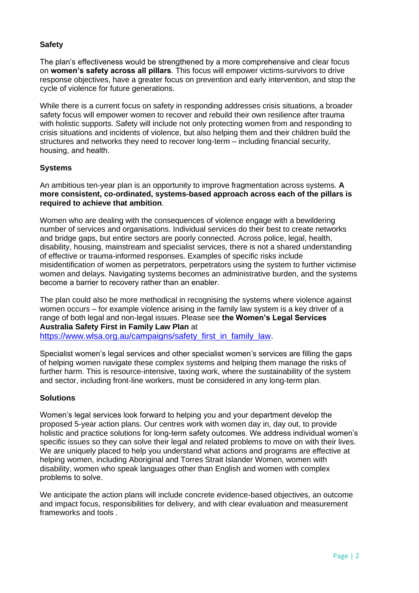#### **Safety**

The plan's effectiveness would be strengthened by a more comprehensive and clear focus on **women's safety across all pillars**. This focus will empower victims-survivors to drive response objectives, have a greater focus on prevention and early intervention, and stop the cycle of violence for future generations.

While there is a current focus on safety in responding addresses crisis situations, a broader safety focus will empower women to recover and rebuild their own resilience after trauma with holistic supports. Safety will include not only protecting women from and responding to crisis situations and incidents of violence, but also helping them and their children build the structures and networks they need to recover long-term – including financial security, housing, and health.  

## **Systems**

An ambitious ten-year plan is an opportunity to improve fragmentation across systems. **A more consistent, co-ordinated, systems-based approach across each of the pillars is required to achieve that ambition**.   

Women who are dealing with the consequences of violence engage with a bewildering number of services and organisations. Individual services do their best to create networks and bridge gaps, but entire sectors are poorly connected. Across police, legal, health, disability, housing, mainstream and specialist services, there is not a shared understanding of effective or trauma-informed responses. Examples of specific risks include misidentification of women as perpetrators, perpetrators using the system to further victimise women and delays. Navigating systems becomes an administrative burden, and the systems become a barrier to recovery rather than an enabler.  

The plan could also be more methodical in recognising the systems where violence against women occurs – for example violence arising in the family law system is a key driver of a range of both legal and non-legal issues. Please see **the Women's Legal Services Australia Safety First in Family Law Plan** at

[https://www.wlsa.org.au/campaigns/safety\\_first\\_in\\_family\\_law.](https://www.wlsa.org.au/campaigns/safety_first_in_family_law)

Specialist women's legal services and other specialist women's services are filling the gaps of helping women navigate these complex systems and helping them manage the risks of further harm. This is resource-intensive, taxing work, where the sustainability of the system and sector, including front-line workers, must be considered in any long-term plan.

### **Solutions**

Women's legal services look forward to helping you and your department develop the proposed 5-year action plans. Our centres work with women day in, day out, to provide holistic and practice solutions for long-term safety outcomes. We address individual women's specific issues so they can solve their legal and related problems to move on with their lives. We are uniquely placed to help you understand what actions and programs are effective at helping women, including Aboriginal and Torres Strait Islander Women, women with disability, women who speak languages other than English and women with complex problems to solve.   

We anticipate the action plans will include concrete evidence-based objectives, an outcome and impact focus, responsibilities for delivery, and with clear evaluation and measurement frameworks and tools .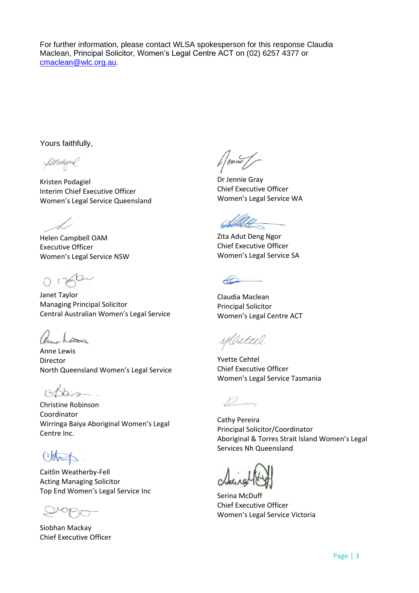For further information, please contact WLSA spokesperson for this response Claudia Maclean, Principal Solicitor, Women's Legal Centre ACT on (02) 6257 4377 or [cmaclean@wlc.org.au.](mailto:cmaclean@wlc.org.au)

Yours faithfully,

Kirodapid

Kristen Podagiel Interim Chief Executive Officer Women's Legal Service Queensland

Helen Campbell OAM Executive Officer Women's Legal Service NSW

Janet Taylor Managing Principal Solicitor Central Australian Women's Legal Service

Churcheson

Anne Lewis Director North Queensland Women's Legal Service

 $8652 - 1$ 

Christine Robinson Coordinator Wirringa Baiya Aboriginal Women's Legal Centre Inc.

Other.

Caitlin Weatherby-Fell Acting Managing Solicitor Top End Women's Legal Service Inc

Vg

Siobhan Mackay Chief Executive Officer

 $\sqrt{\frac{1}{2}}$ 

Dr Jennie Gray Chief Executive Officer Women's Legal Service WA

Zita Adut Deng Ngor Chief Executive Officer Women's Legal Service SA

 $\bigoplus$ 

Claudia Maclean Principal Solicitor Women's Legal Centre ACT

Mattil.

Yvette Cehtel Chief Executive Officer Women's Legal Service Tasmania

 $\n *D*$ 

Cathy Pereira Principal Solicitor/Coordinator Aboriginal & Torres Strait Island Women's Legal Services Nh Queensland

Serina McDuff Chief Executive Officer Women's Legal Service Victoria